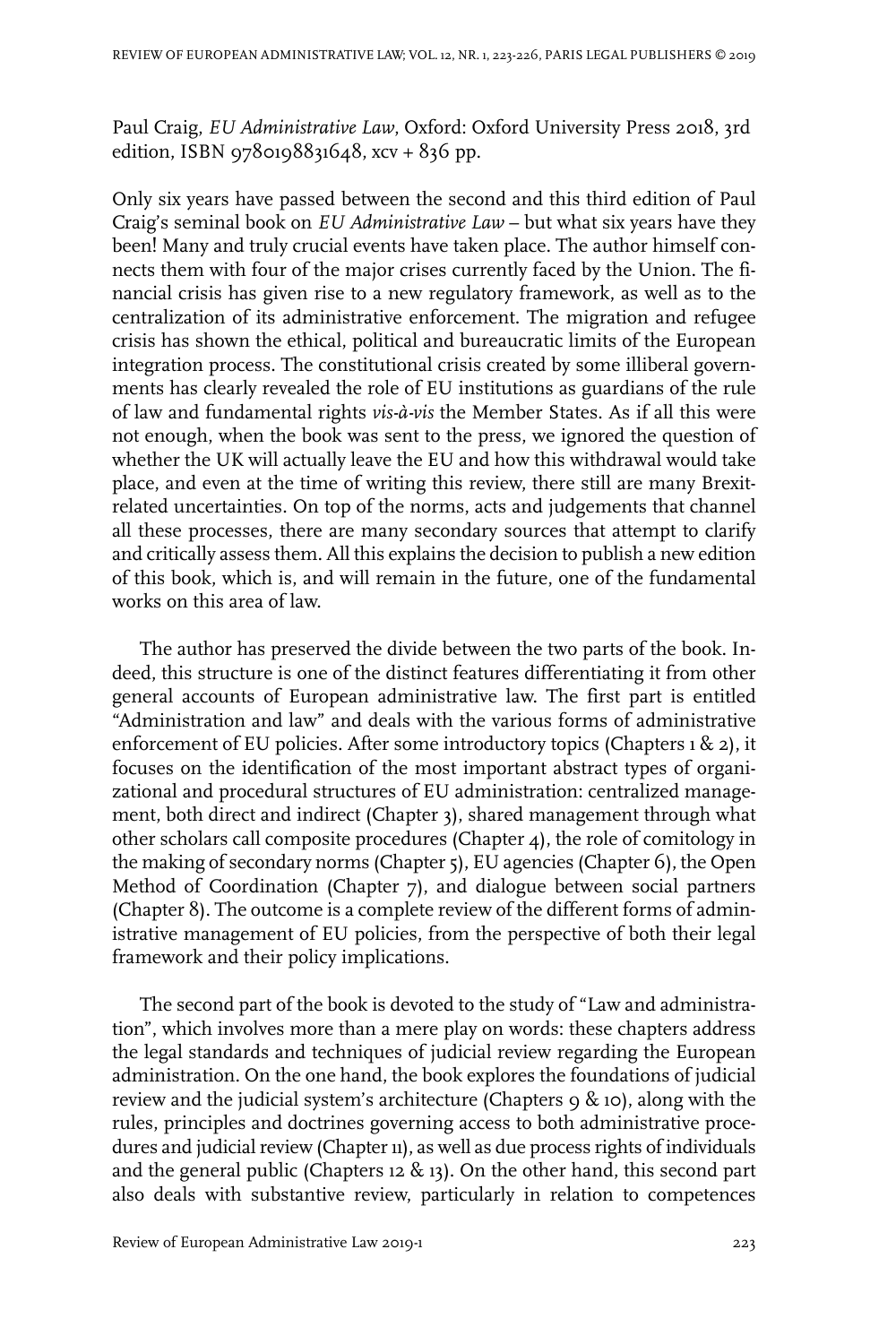Paul Craig, *EU Administrative Law*, Oxford: Oxford University Press 2018, 3rd edition, ISBN 9780198831648, xcv + 836 pp.

Only six years have passed between the second and this third edition of Paul Craig's seminal book on *EU Administrative Law* – but what six years have they been! Many and truly crucial events have taken place. The author himself connects them with four of the major crises currently faced by the Union. The financial crisis has given rise to a new regulatory framework, as well as to the centralization of its administrative enforcement. The migration and refugee crisis has shown the ethical, political and bureaucratic limits of the European integration process. The constitutional crisis created by some illiberal governments has clearly revealed the role of EU institutions as guardians of the rule of law and fundamental rights *vis-à-vis* the Member States. As if all this were not enough, when the book was sent to the press, we ignored the question of whether the UK will actually leave the EU and how this withdrawal would take place, and even at the time of writing this review, there still are many Brexitrelated uncertainties. On top of the norms, acts and judgements that channel all these processes, there are many secondary sources that attempt to clarify and critically assess them. All this explains the decision to publish a new edition of this book, which is, and will remain in the future, one of the fundamental works on this area of law.

The author has preserved the divide between the two parts of the book. Indeed, this structure is one of the distinct features differentiating it from other general accounts of European administrative law. The first part is entitled "Administration and law" and deals with the various forms of administrative enforcement of EU policies. After some introductory topics (Chapters  $1 \& 2$ ), it focuses on the identification of the most important abstract types of organizational and procedural structures of EU administration: centralized management, both direct and indirect (Chapter 3), shared management through what other scholars call composite procedures (Chapter 4), the role of comitology in the making of secondary norms (Chapter 5), EU agencies (Chapter 6), the Open Method of Coordination (Chapter 7), and dialogue between social partners (Chapter 8). The outcome is a complete review of the different forms of administrative management of EU policies, from the perspective of both their legal framework and their policy implications.

The second part of the book is devoted to the study of "Law and administration", which involves more than a mere play on words: these chapters address the legal standards and techniques of judicial review regarding the European administration. On the one hand, the book explores the foundations of judicial review and the judicial system's architecture (Chapters 9 & 10), along with the rules, principles and doctrines governing access to both administrative procedures and judicial review (Chapter 11), as well as due process rights of individuals and the general public (Chapters 12 & 13). On the other hand, this second part also deals with substantive review, particularly in relation to competences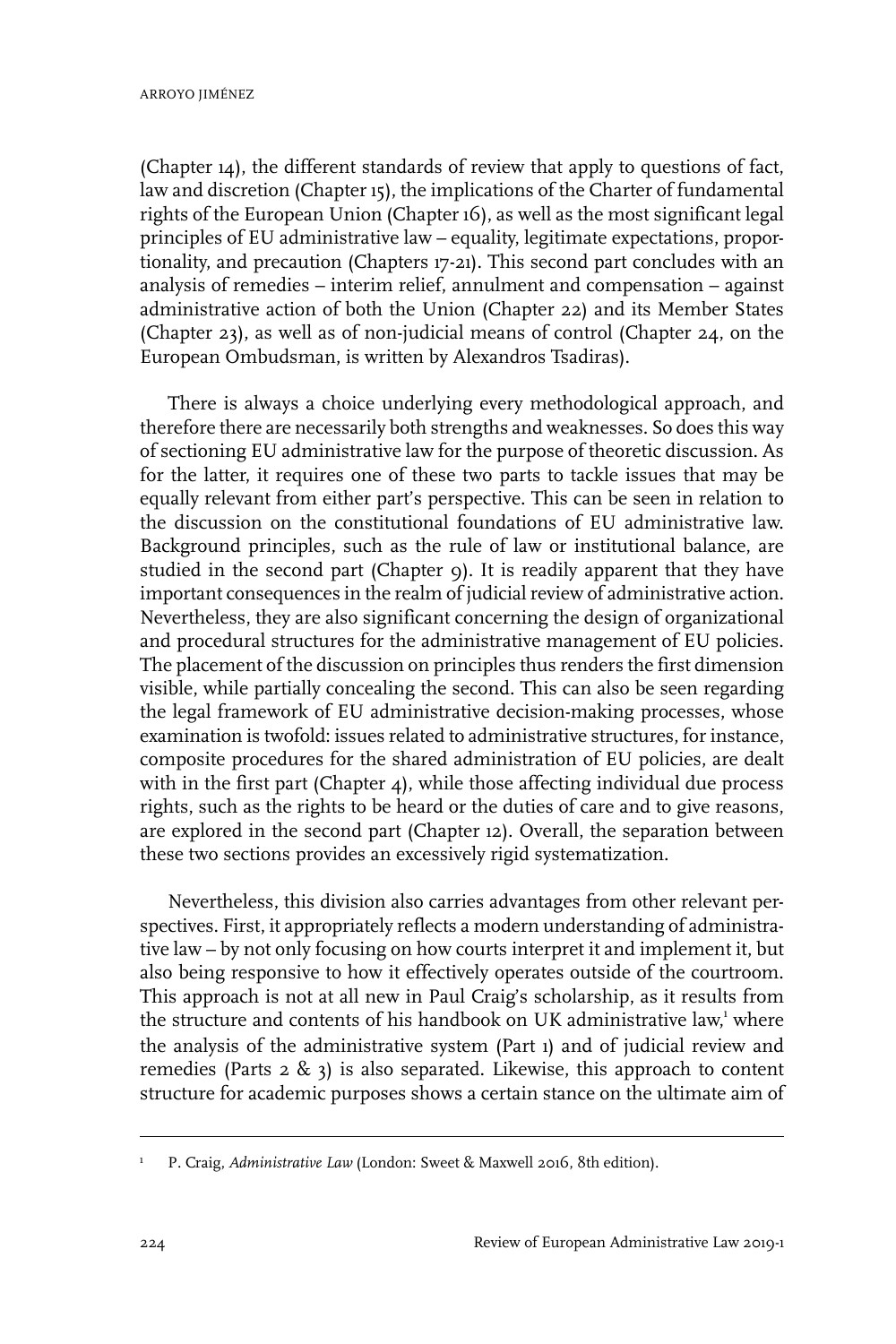(Chapter 14), the different standards of review that apply to questions of fact, law and discretion (Chapter 15), the implications of the Charter of fundamental rights of the European Union (Chapter 16), as well as the most significant legal principles of EU administrative law – equality, legitimate expectations, proportionality, and precaution (Chapters 17-21). This second part concludes with an analysis of remedies – interim relief, annulment and compensation – against administrative action of both the Union (Chapter 22) and its Member States (Chapter 23), as well as of non-judicial means of control (Chapter 24, on the European Ombudsman, is written by Alexandros Tsadiras).

There is always a choice underlying every methodological approach, and therefore there are necessarily both strengths and weaknesses. So does this way of sectioning EU administrative law for the purpose of theoretic discussion. As for the latter, it requires one of these two parts to tackle issues that may be equally relevant from either part's perspective. This can be seen in relation to the discussion on the constitutional foundations of EU administrative law. Background principles, such as the rule of law or institutional balance, are studied in the second part (Chapter 9). It is readily apparent that they have important consequences in the realm of judicial review of administrative action. Nevertheless, they are also significant concerning the design of organizational and procedural structures for the administrative management of EU policies. The placement of the discussion on principles thus renders the first dimension visible, while partially concealing the second. This can also be seen regarding the legal framework of EU administrative decision-making processes, whose examination is twofold: issues related to administrative structures, for instance, composite procedures for the shared administration of EU policies, are dealt with in the first part (Chapter 4), while those affecting individual due process rights, such as the rights to be heard or the duties of care and to give reasons, are explored in the second part (Chapter 12). Overall, the separation between these two sections provides an excessively rigid systematization.

Nevertheless, this division also carries advantages from other relevant perspectives. First, it appropriately reflects a modern understanding of administrative law – by not only focusing on how courts interpret it and implement it, but also being responsive to how it effectively operates outside of the courtroom. This approach is not at all new in Paul Craig's scholarship, as it results from the structure and contents of his handbook on UK administrative law,<sup>1</sup> where the analysis of the administrative system (Part 1) and of judicial review and remedies (Parts  $2 \& 3$ ) is also separated. Likewise, this approach to content structure for academic purposes shows a certain stance on the ultimate aim of

P. Craig, *Administrative Law* (London: Sweet & Maxwell 2016, 8th edition). <sup>1</sup>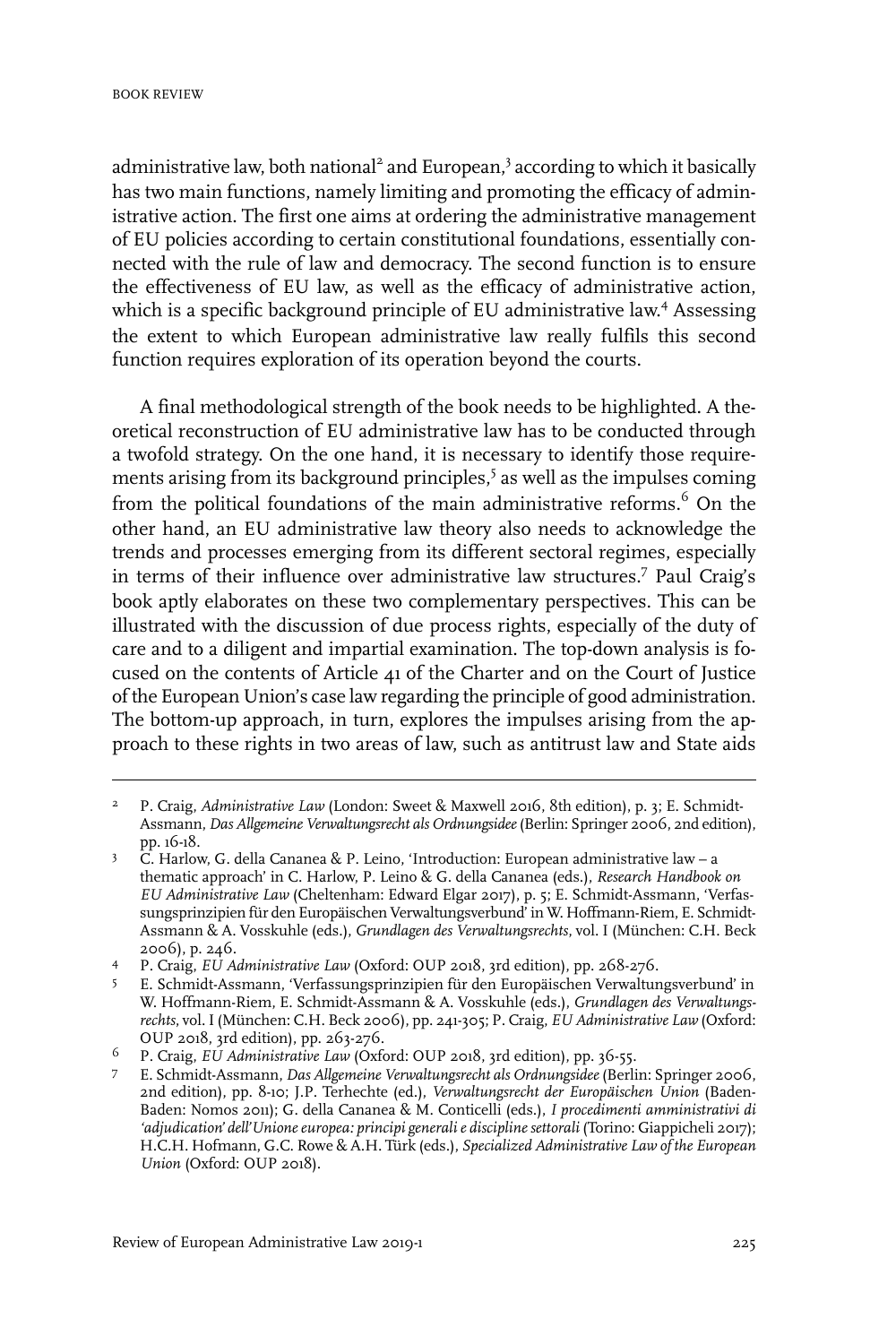administrative law, both national<sup>2</sup> and European,<sup>3</sup> according to which it basically has two main functions, namely limiting and promoting the efficacy of administrative action. The first one aims at ordering the administrative management of EU policies according to certain constitutional foundations, essentially connected with the rule of law and democracy. The second function is to ensure the effectiveness of EU law, as well as the efficacy of administrative action, which is a specific background principle of EU administrative law. <sup>4</sup> Assessing the extent to which European administrative law really fulfils this second function requires exploration of its operation beyond the courts.

A final methodological strength of the book needs to be highlighted. A theoretical reconstruction of EU administrative law has to be conducted through a twofold strategy. On the one hand, it is necessary to identify those requirements arising from its background principles,<sup>5</sup> as well as the impulses coming from the political foundations of the main administrative reforms.<sup>6</sup> On the other hand, an EU administrative law theory also needs to acknowledge the trends and processes emerging from its different sectoral regimes, especially in terms of their influence over administrative law structures.<sup>7</sup> Paul Craig's book aptly elaborates on these two complementary perspectives. This can be illustrated with the discussion of due process rights, especially of the duty of care and to a diligent and impartial examination. The top-down analysis is focused on the contents of Article 41 of the Charter and on the Court of Justice of the European Union's case law regarding the principle of good administration. The bottom-up approach, in turn, explores the impulses arising from the approach to these rights in two areas of law, such as antitrust law and State aids

P. Craig, *Administrative Law* (London: Sweet & Maxwell 2016, 8th edition), p. 3; E. Schmidt-Assmann, *Das Allgemeine Verwaltungsrecht als Ordnungsidee*(Berlin: Springer 2006, 2nd edition), pp. 16-18. 2

C. Harlow, G. della Cananea & P. Leino, 'Introduction: European administrative law – a thematic approach' in C. Harlow, P. Leino & G. della Cananea (eds.), *Research Handbook on* 3 *EU Administrative Law* (Cheltenham: Edward Elgar 2017), p. 5; E. Schmidt-Assmann, 'Verfassungsprinzipien für den Europäischen Verwaltungsverbund' in W. Hoffmann-Riem, E. Schmidt-Assmann & A. Vosskuhle (eds.), *Grundlagen des Verwaltungsrechts*, vol.I(München: C.H. Beck 2006), p. 246.

P. Craig, *EU Administrative Law* (Oxford: OUP 2018, 3rd edition), pp. 268-276. <sup>4</sup>

E. Schmidt-Assmann, 'Verfassungsprinzipien für den Europäischen Verwaltungsverbund' in 5 W. Hoffmann-Riem, E. Schmidt-Assmann & A. Vosskuhle (eds.), *Grundlagen des Verwaltungsrechts*, vol.I(München: C.H. Beck 2006), pp. 241-305; P. Craig, *EU Administrative Law* (Oxford: OUP 2018, 3rd edition), pp. 263-276.

P. Craig, *EU Administrative Law* (Oxford: OUP 2018, 3rd edition), pp. 36-55. <sup>6</sup>

E. Schmidt-Assmann, *Das Allgemeine Verwaltungsrecht als Ordnungsidee*(Berlin: Springer 2006, 7 2nd edition), pp. 8-10; J.P. Terhechte (ed.), *Verwaltungsrecht der Europäischen Union* (Baden-Baden: Nomos 2011); G. della Cananea & M. Conticelli (eds.), *I procedimenti amministrativi di 'adjudication' dell'Unioneeuropea: principi generalie disciplinesettorali* (Torino: Giappicheli 2017); H.C.H. Hofmann, G.C. Rowe & A.H. Türk (eds.), *Specialized Administrative Law of the European Union* (Oxford: OUP 2018).